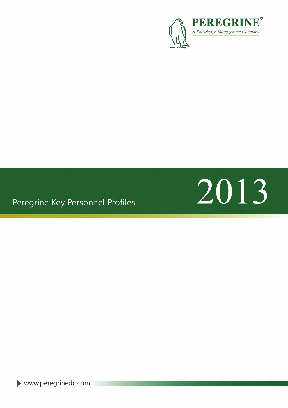

### Peregrine Key Personnel Profiles



 $\blacktriangleright$  www.peregrinedc.com PO Box No: 54719, Suite# 7WA G024 Dubai Airport Freezone Dubai, United Arab Emirates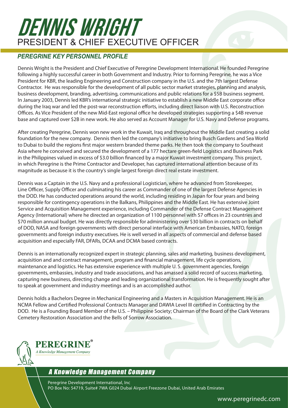### DENNIS WRIGHT PRESIDENT & CHIEF EXECUTIVE OFFICER

#### *PEREGRINE KEY PERSONNEL PROFILE*

Dennis Wright is the President and Chief Executive of Peregrine Development International. He founded Peregrine following a highly successful career in both Government and Industry. Prior to forming Peregrine, he was a Vice President for KBR, the leading Engineering and Construction company in the U.S. and the 7th largest Defense Contractor. He was responsible for the development of all public sector market strategies, planning and analysis, business development, branding, advertising, communications and public relations for a \$5B business segment. In January 2003, Dennis led KBR's international strategic initiative to establish a new Middle East corporate office during the Iraq war and led the post-war reconstruction efforts, including direct liaison with U.S. Reconstruction Offices. As Vice President of the new Mid‐East regional office he developed strategies supporting a \$4B revenue base and captured over \$2B in new work. He also served as Account Manager for U.S. Navy and Defense programs.

After creating Peregrine, Dennis won new work in the Kuwait, Iraq and throughout the Middle East creating a solid foundation for the new company. Dennis then led the company's initiative to bring Busch Gardens and Sea World to Dubai to build the regions first major western branded theme parks. He then took the company to Southeast Asia where he conceived and secured the development of a 177 hectare green-field Logistics and Business Park in the Philippines valued in excess of \$3.0 billion financed by a major Kuwait investment company. This project, in which Peregrine is the Prime Contractor and Developer, has captured international attention because of its magnitude as because it is the country's single largest foreign direct real estate investment.

Dennis was a Captain in the U.S. Navy and a professional Logistician, where he advanced from Storekeeper, Line Officer, Supply Officer and culminating his career as Commander of one of the largest Defense Agencies in the DOD. He has conducted operations around the world, including residing in Japan for four years and being responsible for contingency operations in the Balkans, Philippines and the Middle East. He has extensive Joint Service and Acquisition Management experience, including Commander of the Defense Contract Management Agency (International) where he directed an organization of 1100 personnel with 57 offices in 23 countries and \$70 million annual budget. He was directly responsible for administering over \$30 billion in contracts on behalf of DOD, NASA and foreign governments with direct personal interface with American Embassies, NATO, foreign governments and foreign industry executives. He is well versed in all aspects of commercial and defense based acquisition and especially FAR, DFARs, DCAA and DCMA based contracts.

Dennis is an internationally recognized expert in strategic planning, sales and marketing, business development, acquisition and and contract management, program and financial management, life cycle operations, maintenance and logistics. He has extensive experience with multiple U. S. government agencies, foreign governments, embassies, industry and trade associations, and has amassed a solid record of success marketing, capturing new business, directing change and leading organizational transformation. He is frequently sought after to speak at government and industry meetings and is an accomplished author.

Dennis holds a Bachelors Degree in Mechanical Engineering and a Masters in Acquisition Management. He is an NCMA Fellow and Certified Professional Contracts Manager and DAWIA Level III certified in Contracting by the DOD. He is a Founding Board Member of the U.S. – Philippine Society; Chairman of the Board of the Clark Veterans Cemetery Restoration Association and the Bells of Sorrow Association.



#### A Knowledge Management Company

Peregrine Development International, Inc PO Box No: 54719, Suite# 7WA G024 Dubai Airport Freezone Dubai, United Arab Emirates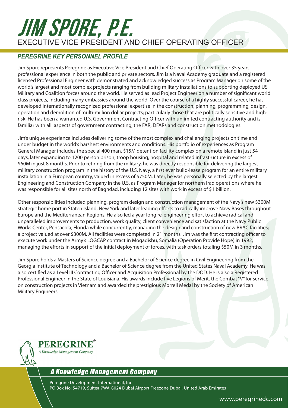### JIM SPORE, P.E. Executive Vice President and Chief Operating Officer

#### *PEREGRINE KEY PERSONNEL PROFILE*

Jim Spore represents Peregrine as Executive Vice President and Chief Operating Officer with over 35 years professional experience in both the public and private sectors. Jim is a Naval Academy graduate and a registered licensed Professional Engineer with demonstrated and acknowledged success as Program Manager on some of the world's largest and most complex projects ranging from building military installations to supporting deployed US Military and Coalition forces around the world. He served as lead Project Engineer on a number of significant world class projects, including many embassies around the world. Over the course of a highly successful career, he has developed internationally recognized professional expertise in the construction, planning, programming, design, operation and demolition of multi-million dollar projects; particularly those that are politically sensitive and highrisk. He has been a warranted U.S. Government Contracting Officer with unlimited contracting authority and is familiar with all aspects of government contracting, the FAR, DFARs and construction methodologies.

Jim's unique experience includes delivering some of the most complex and challenging projects on time and under budget in the world's harshest environments and conditions. His portfolio of experiences as Program General Manager includes the special 400 man, \$15M detention facility complex on a remote island in just 54 days, later expanding to 1200 person prison, troop housing, hospital and related infrastructure in excess of \$60M in just 8 months. Prior to retiring from the military, he was directly responsible for delivering the largest military construction program in the history of the U.S. Navy, a first ever build-lease program for an entire military installation in a European country, valued in excess of \$750M. Later, he was personally selected by the largest Engineering and Construction Company in the U.S. as Program Manager for northern Iraq operations where he was responsible for all sites north of Baghdad, including 12 sites with work in excess of \$1 billion.

Other responsibilities included planning, program design and construction management of the Navy's new \$300M strategic home port in Staten Island, New York and later leading efforts to radically improve Navy Bases throughout Europe and the Mediterranean Regions. He also led a year long re-engineering effort to achieve radical and unparalleled improvements to production, work quality, client convenience and satisfaction at the Navy Public Works Center, Pensacola, Florida while concurrently, managing the design and construction of new BRAC facilities; a project valued at over \$300M. All facilities were completed in 21 months. Jim was the first contracting officer to execute work under the Army's LOGCAP contract in Mogadishu, Somalia (Operation Provide Hope) in 1992, managing the efforts in support of the initial deployment of forces, with task orders totaling \$50M in 3 months.

Jim Spore holds a Masters of Science degree and a Bachelor of Science degree in Civil Engineering from the Georgia Institute of Technology and a Bachelor of Science degree from the United States Naval Academy. He was also certified as a Level III Contracting Officer and Acquisition Professional by the DOD. He is also a Registered Professional Engineer in the State of Louisiana. His awards include five Legions of Merit, the Combat "V" for service on construction projects in Vietnam and awarded the prestigious Morrell Medal by the Society of American Military Engineers.



#### A Knowledge Management Company

Peregrine Development International, Inc PO Box No: 54719, Suite# 7WA G024 Dubai Airport Freezone Dubai, United Arab Emirates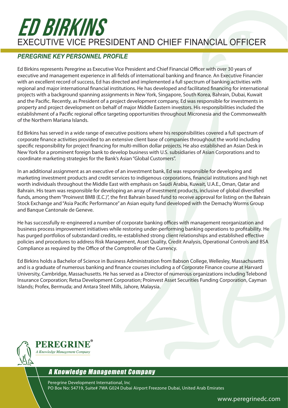### ED BIRKINS Executive Vice President and Chief Financial Officer

#### *PEREGRINE KEY PERSONNEL PROFILE*

Ed Birkins represents Peregrine as Executive Vice President and Chief Financial Officer with over 30 years of executive and management experience in all fields of international banking and finance. An Executive Financier with an excellent record of success, Ed has directed and implemented a full spectrum of banking activities with regional and major international financial institutions. He has developed and facilitated financing for international projects with a background spanning assignments in New York, Singapore, South Korea, Bahrain, Dubai, Kuwait and the Pacific. Recently, as President of a project development company, Ed was responsible for investments in property and project development on behalf of major Middle Eastern investors. His responsibilities included the establishment of a Pacific regional office targeting opportunities throughout Micronesia and the Commonwealth of the Northern Mariana Islands.

Ed Birkins has served in a wide range of executive positions where his responsibilities covered a full spectrum of corporate finance activities provided to an extensive client base of companies throughout the world including specific responsibility for project financing for multi-million dollar projects. He also established an Asian Desk in New York for a prominent foreign bank to develop business with U.S. subsidiaries of Asian Corporations and to coordinate marketing strategies for the Bank's Asian "Global Customers".

In an additional assignment as an executive of an investment bank, Ed was responsible for developing and marketing investment products and credit services to indigenous corporations, financial institutions and high net worth individuals throughout the Middle East with emphasis on Saudi Arabia, Kuwait, U.A.E., Oman, Qatar and Bahrain. His team was responsible for developing an array of investment products, inclusive of global diversified funds, among them "Proinvest BMB (E.C.)", the first Bahrain based fund to receive approval for listing on the Bahrain Stock Exchange and "Asia Pacific Performance" an Asian equity fund developed with the Demachy Worms Group and Banque Cantonale de Geneve.

He has successfully re-engineered a number of corporate banking offices with management reorganization and business process improvement initiatives while restoring under-performing banking operations to profitability. He has purged portfolios of substandard credits, re-established strong client relationships and established effective policies and procedures to address Risk Management, Asset Quality, Credit Analysis, Operational Controls and BSA Compliance as required by the Office of the Comptroller of the Currency.

Ed Birkins holds a Bachelor of Science in Business Administration from Babson College, Wellesley, Massachusetts and is a graduate of numerous banking and finance courses including a of Corporate Finance course at Harvard University, Cambridge, Massachusetts. He has served as a Director of numerous organizations including Telebond Insurance Corporation; Retsa Development Corporation; Proinvest Asset Securities Funding Corporation, Cayman Islands; Profex, Bermuda; and Antara Steel Mills, Jahore, Malaysia.



#### A Knowledge Management Company

Peregrine Development International, Inc PO Box No: 54719, Suite# 7WA G024 Dubai Airport Freezone Dubai, United Arab Emirates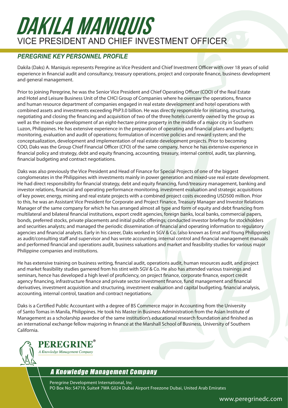### DAKILA MANIQUIS Vice President and Chief Investment Officer

#### *PEREGRINE KEY PERSONNEL PROFILE*

Dakila (Daks) A. Maniquis represents Peregrine as Vice President and Chief Investment Officer with over 18 years of solid experience in financial audit and consultancy, treasury operations, project and corporate finance, business development and general management.

Prior to joining Peregrine, he was the Senior Vice President and Chief Operating Officer (COO) of the Real Estate and Hotel and Leisure Business Unit of the CHCI Group of Companies where he oversaw the operations, finance and human resource department of companies engaged in real estate development and hotel operations with combined assets and investments exceeding PhP3.0 billion. He was directly responsible for initiating, structuring, negotiating and closing the financing and acquisition of two of the three hotels currently owned by the group as well as the mixed-use development of an eight-hectare prime property in the middle of a major city in Southern Luzon, Philippines. He has extensive experience in the preparation of operating and financial plans and budgets; monitoring, evaluation and audit of operations; formulation of incentive policies and reward system; and the conceptualization, development and implementation of real estate development projects. Prior to becoming COO, Daks was the Group Chief Financial Officer (CFO) of the same company, hence he has extensive experience in financial policy and strategy, debt and equity financing, accounting, treasury, internal control, audit, tax planning, financial budgeting and contract negotiations.

Daks was also previously the Vice President and Head of Finance for Special Projects of one of the biggest conglomerates in the Philippines with investments mainly in power generation and mixed-use real estate development. He had direct responsibility for financial strategy, debt and equity financing, fund/treasury management, banking and investor relations, financial and operating performance monitoring, investment evaluation and strategic acquisitions of key power, energy, mining and real estate projects with a combined project costs exceeding USD500 million. Prior to this, he was an Assistant Vice President for Corporate and Project Finance, Treasury Manager and Investor Relations Manager of the same company for which he has arranged almost all type and form of equity and debt financing from multilateral and bilateral financial institutions, export credit agencies, foreign banks, local banks, commercial papers, bonds, preferred stocks, private placements and initial public offerings; conducted investor briefings for stockholders and securities analysts; and managed the periodic dissemination of financial and operating information to regulatory agencies and financial analysts. Early in his career, Daks worked in SGV & Co. (also known as Ernst and Young Philippines) as audit/consulting staff and supervisor and has wrote accounting, internal control and financial management manuals and performed financial and operations audit, business valuations and market and feasibility studies for various major Philippine companies and institutions.

He has extensive training on business writing, financial audit, operations audit, human resources audit, and project and market feasibility studies garnered from his stint with SGV & Co. He also has attended various trainings and seminars, hence has developed a high level of proficiency, on project finance, corporate finance, export credit agency financing, infrastructure finance and private sector investment finance, fund management and financial derivatives, investment acquisition and structuring, investment evaluation and capital budgeting, financial analysis, accounting, internal control, taxation and contract negotiations.

Daks is a Certified Public Accountant with a degree of BS Commerce major in Accounting from the University of Santo Tomas in Manila, Philippines. He took his Master in Business Administration from the Asian Institute of Management as a scholarship awardee of the same institution's educational research foundation and finished as an international exchange fellow majoring in finance at the Marshall School of Business, University of Southern California.



#### PEREGRINE A Knowledge Management Company

### A Knowledge Management Company

Peregrine Development International, Inc PO Box No: 54719, Suite# 7WA G024 Dubai Airport Freezone Dubai, United Arab Emirates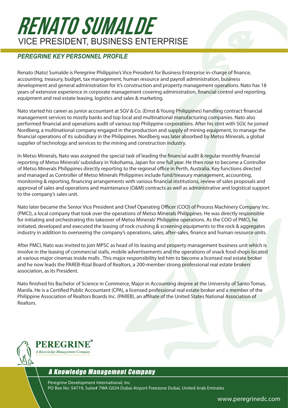### RENATO SUMALDE Vice President, Business Enterprise

#### *PEREGRINE KEY PERSONNEL PROFILE*

Renato (Nato) Sumalde is Peregrine Philippine's Vice President for Business Enterprise in-charge of finance, accounting, treasury, budget, tax management, human resource and payroll administration, business development and general administration for it's construction and property management operations. Nato has 18 years of extensive experience in corporate management covering administration, financial control and reporting, equipment and real estate leasing, logistics and sales & marketing.

Nato started his career as junior accountant at SGV & Co. (Ernst & Young Philippines) handling contract financial management services to mostly banks and top local and multinational manufacturing companies. Nato also performed financial and operations audit of various top Philippine corporations. After his stint with SGV, he joined Nordberg, a multinational company engaged in the production and supply of mining equipment, to manage the financial operations of its subsidiary in the Philippines. Nordberg was later absorbed by Metso Minerals, a global supplier of technology and services to the mining and construction industry.

In Metso Minerals, Nato was assigned the special task of leading the financial audit & regular monthly financial reporting of Metso Minerals' subsidiary in Yokohama, Japan for one full year. He then rose to become a Controller of Metso Minerals Philippines directly reporting to the regional office in Perth, Australia. Key functions directed and managed as Controller of Metso Minerals Philippines include fund/treasury management, accounting, monitoring & reporting, financing arrangements with various financial institutions, review of sales proposals and approval of sales and operations and maintenance (O&M) contracts as well as administrative and logistical support to the company's sales unit.

Nato later became the Senior Vice President and Chief Operating Officer (COO) of Process Machinery Company Inc. (PMCI), a local company that took over the operations of Metso Minerals Philippines. He was directly responsible for initiating and orchestrating this takeover of Metso Minerals' Philippine operations. As the COO of PMCI, he initiated, developed and executed the leasing of rock crushing & screening equipments to the rock & aggregates industry in addition to overseeing the company's operations, sales, after-sales, finance and human resource units.

After PMCI, Nato was invited to join MPSC as head of its leasing and property management business unit which is involve in the leasing of commercial stalls, mobile advertisements and the operations of snack food shops located at various major cinemas inside malls . This major responsibility led him to become a licensed real estate broker and he now leads the PAREB-Rizal Board of Realtors, a 200-member strong professional real estate brokers association, as its President.

Nato finished his Bachelor of Science in Commerce, Major in Accounting degree at the University of Santo Tomas, Manila. He is a Certified Public Accountant (CPA), a licensed professional real estate broker and a member of the Philippine Association of Realtors Boards Inc. (PAREB), an affiliate of the United States National Association of Realtors.



#### A Knowledge Management Company

Peregrine Development International, Inc PO Box No: 54719, Suite# 7WA G024 Dubai Airport Freezone Dubai, United Arab Emirates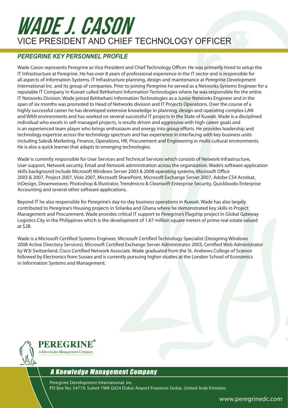### WADE J. CASON Vice President and Chief technology Officer

#### *PEREGRINE KEY PERSONNEL PROFILE*

Wade Cason represents Peregrine as Vice President and Chief Technology Officer. He was primarily hired to setup the IT Infrastructure at Peregrine. He has over 8 years of professional experience in the IT sector and is responsible for all aspects of Information Systems, IT Infrastructure planning, design and maintenance at Peregrine Development International Inc. and its group of companies. Prior to joining Peregrine he served as a Networks Systems Engineer for a reputable IT Company in Kuwait called Behbehani Information Technologies where he was responsible for the entire IT Networks Division. Wade joined Behbehani Information Technologies as a Junior Networks Engineer and in the span of six months was promoted to Head of Networks division and IT Projects Operations. Over the course of a highly successful career he has developed extensive knowledge in planning, design and operating complex LAN and WAN environments and has worked on several successful IT projects in the State of Kuwait. Wade is a disciplined individual who excels in self-managed projects, is results driven and aggressive with high career goals and is an experienced team player who brings enthusiasm and energy into group efforts. He provides leadership and technology expertise across the technology spectrum and has experience in interfacing with key business units including Sales& Marketing, Finance, Operations, HR, Procurement and Engineering in multi-cultural environments. He is also a quick learner that adapts to emerging technologies.

Wade is currently responsible for User Services and Technical Services which consists of Network Infrastructure, User support, Network security, Email and Network administration across the organization. Wade's software application skills background include Microsoft Windows Server 2003 & 2008 operating systems, Microsoft Office 2003 & 2007, Project 2007, Visio 2007, Microsoft SharePoint, Microsoft Exchange Server 2007, Adobe CS4 Acrobat, InDesign, Dreamweaver, Photoshop & Illustrator, Trendmicro & Clearswift Enterprise Security, Quickbooks Enterprise Accounting and several other software applications.

Beyond IT he also responsible for Peregrine's day-to-day business operations in Kuwait. Wade has also largely contributed to Peregrine's Housing projects in Srilanka and Ghana where he demonstrated key skills in Project Management and Procurement. Wade provides critical IT support to Peregrine's Flagship project in Global Gateway Logistics City in the Philippines which is the development of 1.67 million square meters of prime real estate valued at \$2B.

Wade is a Microsoft Certified Systems Engineer, Microsoft Certified Technology Specialist (Designing Windows 2008 Active Directory Services), Microsoft Certified Exchange Server Administrator 2003, Certified Web Administrator by W3i Switzerland, Cisco Certified Network Associate. Wade graduated from the St. Andrews College of Science followed by Electronics from Sussex and is currently pursuing higher studies at the London School of Economics in Information Systems and Management.



#### A Knowledge Management Company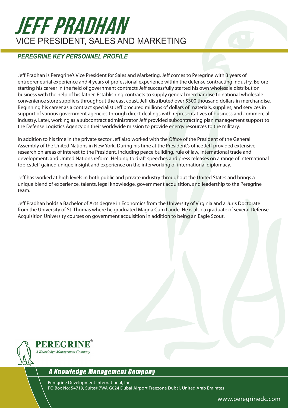### JEFF PRADHAN Vice President, Sales and Marketing

#### *PEREGRINE KEY PERSONNEL PROFILE*

Jeff Pradhan is Peregrine's Vice President for Sales and Marketing. Jeff comes to Peregrine with 3 years of entrepreneurial experience and 4 years of professional experience within the defense contracting industry. Before starting his career in the field of government contracts Jeff successfully started his own wholesale distribution business with the help of his father. Establishing contracts to supply general merchandise to national wholesale convenience store suppliers throughout the east coast, Jeff distributed over \$300 thousand dollars in merchandise. Beginning his career as a contract specialist Jeff procured millions of dollars of materials, supplies, and services in support of various government agencies through direct dealings with representatives of business and commercial industry. Later, working as a subcontract administrator Jeff provided subcontracting plan management support to the Defense Logistics Agency on their worldwide mission to provide energy resources to the military.

In addition to his time in the private sector Jeff also worked with the Office of the President of the General Assembly of the United Nations in New York. During his time at the President's office Jeff provided extensive research on areas of interest to the President, including peace building, rule of law, international trade and development, and United Nations reform. Helping to draft speeches and press releases on a range of international topics Jeff gained unique insight and experience on the interworking of international diplomacy.

Jeff has worked at high levels in both public and private industry throughout the United States and brings a unique blend of experience, talents, legal knowledge, government acquisition, and leadership to the Peregrine team.

Jeff Pradhan holds a Bachelor of Arts degree in Economics from the University of Virginia and a Juris Doctorate from the University of St. Thomas where he graduated Magna Cum Laude. He is also a graduate of several Defense Acquisition University courses on government acquisition in addition to being an Eagle Scout.



#### A Knowledge Management Company

Peregrine Development International, Inc PO Box No: 54719, Suite# 7WA G024 Dubai Airport Freezone Dubai, United Arab Emirates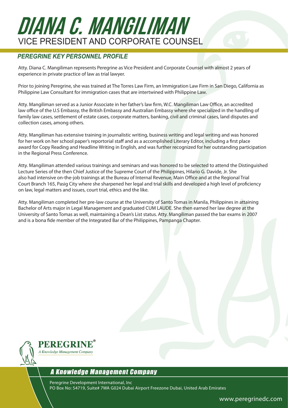# DIANA C. MANGILIMAN Vice President and CORPORATE Counsel

#### *PEREGRINE KEY PERSONNEL PROFILE*

Atty. Diana C. Mangiliman represents Peregrine as Vice President and Corporate Counsel with almost 2 years of experience in private practice of law as trial lawyer.

Prior to joining Peregrine, she was trained at The Torres Law Firm, an Immigration Law Firm in San Diego, California as Philippine Law Consultant for immigration cases that are intertwined with Philippine Law.

Atty. Mangiliman served as a Junior Associate in her father's law firm, W.C. Mangiliman Law Office, an accredited law office of the U.S Embassy, the British Embassy and Australian Embassy where she specialized in the handling of family law cases, settlement of estate cases, corporate matters, banking, civil and criminal cases, land disputes and collection cases, among others.

Atty. Mangiliman has extensive training in journalistic writing, business writing and legal writing and was honored for her work on her school paper's reportorial staff and as a accomplished Literary Editor, including a first place award for Copy Reading and Headline Writing in English, and was further recognized for her outstanding participation in the Regional Press Conference.

Atty. Mangiliman attended various trainings and seminars and was honored to be selected to attend the Distinguished Lecture Series of the then Chief Justice of the Supreme Court of the Philippines, Hilario G. Davide, Jr. She also had intensive on-the-job trainings at the Bureau of Internal Revenue, Main Office and at the Regional Trial Court Branch 165, Pasig City where she sharpened her legal and trial skills and developed a high level of proficiency on law, legal matters and issues, court trial, ethics and the like.

Atty. Mangiliman completed her pre-law course at the University of Santo Tomas in Manila, Philippines in attaining Bachelor of Arts major in Legal Management and graduated CUM LAUDE. She then earned her law degree at the University of Santo Tomas as well, maintaining a Dean's List status. Atty. Mangiliman passed the bar exams in 2007 and is a bona fide member of the Integrated Bar of the Philippines, Pampanga Chapter.



#### A Knowledge Management Company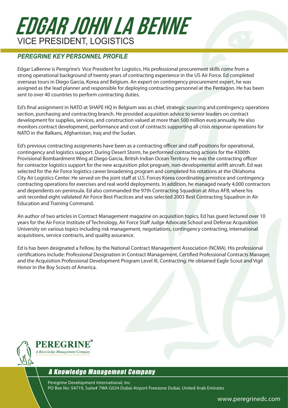## EDGAR JOHN LA BENNE Vice President, LOGISTICS

#### *PEREGRINE KEY PERSONNEL PROFILE*

Edgar LaBenne is Peregrine's Vice President for Logistics. His professional procurement skills come from a strong operational background of twenty years of contracting experience in the US Air Force. Ed completed overseas tours in Diego Garcia, Korea and Belgium. An expert on contingency procurement expert, he was assigned as the lead planner and responsible for deploying contracting personnel at the Pentagon. He has been sent to over 40 countries to perform contracting duties.

Ed's final assignment in NATO at SHAPE HQ in Belgium was as chief, strategic sourcing and contingency operations section, purchasing and contracting branch. He provided acquisition advice to senior leaders on contract development for supplies, services, and construction valued at more than 500 million euro annually. He also monitors contract development, performance and cost of contracts supporting all crisis response operations for NATO in the Balkans, Afghanistan, Iraq and the Sudan.

Ed's previous contracting assignments have been as a contracting officer and staff positions for operational, contingency and logistics support. During Desert Storm, he performed contracting actions for the 4300th Provisional Bombardment Wing at Diego Garcia, British Indian Ocean Territory. He was the contracting officer for contractor logistics support for the new acquisition pilot program, non-developmental airlift aircraft. Ed was selected for the Air Force logistics career broadening program and completed his rotations at the Oklahoma City Air Logistics Center. He served on the joint staff at U.S. Forces Korea coordinating armistice and contingency contracting operations for exercises and real world deployments. In addition, he managed nearly 4,000 contractors and dependents on-peninsula. Ed also commanded the 97th Contracting Squadron at Altus AFB, where his unit recorded eight validated Air Force Best Practices and was selected 2003 Best Contracting Squadron in Air Education and Training Command.

An author of two articles in Contract Management magazine on acquisition topics, Ed has guest lectured over 10 years for the Air Force Institute of Technology, Air Force Staff Judge Advocate School and Defense Acquisition University on various topics including risk management, negotiations, contingency contracting, international acquisitions, service contracts, and quality assurance.

Ed is has been designated a Fellow, by the National Contract Management Association (NCMA). His professional certifications include: Professional Designation in Contract Management, Certified Professional Contracts Manager, and the Acquisition Professional Development Program Level III, Contracting. He obtained Eagle Scout and Vigil Honor in the Boy Scouts of America.



**PEREGRINE** A Knowledge Management Company

#### A Knowledge Management Company

Peregrine Development International, Inc PO Box No: 54719, Suite# 7WA G024 Dubai Airport Freezone Dubai, United Arab Emirates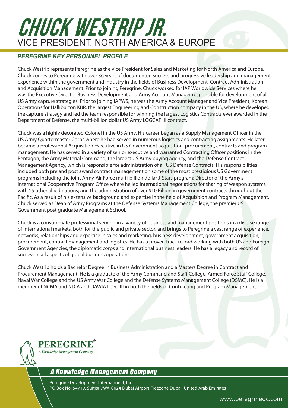### CHUCK WESTRIP JR. Vice President, NORTH AMERICA & EUROPE

#### *PEREGRINE KEY PERSONNEL PROFILE*

Chuck Westrip represents Peregrine as the Vice President for Sales and Marketing for North America and Europe. Chuck comes to Peregrine with over 36 years of documented success and progressive leadership and management experience within the government and industry in the fields of Business Development, Contract Administration and Acquisition Management. Prior to joining Peregrine, Chuck worked for IAP Worldwide Services where he was the Executive Director Business Development and Army Account Manager responsible for development of all US Army capture strategies. Prior to joining IAPWS, he was the Army Account Manager and Vice President, Korean Operations for Halliburton KBR, the largest Engineering and Construction company in the US, where he developed the capture strategy and led the team responsible for winning the largest Logistics Contracts ever awarded in the Department of Defense, the multi-billion dollar US Army LOGCAP III contract.

Chuck was a highly decorated Colonel in the US Army. His career began as a Supply Management Officer in the US Army Quartermaster Corps where he had served in numerous logistics and contracting assignments. He later became a professional Acquisition Executive in US Government acquisition, procurement, contracts and program management. He has served in a variety of senior executive and warranted Contracting Officer positions in the Pentagon, the Army Material Command, the largest US Army buying agency, and the Defense Contract Management Agency, which is responsible for administration of all US Defense Contracts. His responsibilities included both pre and post award contract management on some of the most prestigious US Government programs including the joint Army-Air Force multi-billion dollar J-Stars program; Director of the Army's international Cooperative Program Office where he led international negotiations for sharing of weapon systems with 15 other allied nations; and the administration of over \$10 Billion in government contracts throughout the Pacific. As a result of his extensive background and expertise in the field of Acquisition and Program Management, Chuck served as Dean of Army Programs at the Defense Systems Management College, the premier US Government post graduate Management School.

Chuck is a consummate professional serving in a variety of business and management positions in a diverse range of international markets, both for the public and private sector, and brings to Peregrine a vast range of experience, networks, relationships and expertise in sales and marketing, business development, government acquisition, procurement, contract management and logistics. He has a proven track record working with both US and Foreign Government Agencies, the diplomatic corps and international business leaders. He has a legacy and record of success in all aspects of global business operations.

Chuck Westrip holds a Bachelor Degree in Business Administration and a Masters Degree in Contract and Procurement Management. He is a graduate of the Army Command and Staff College, Armed Force Staff College, Naval War College and the US Army War College and the Defense Systems Management College (DSMC). He is a member of NCMA and NDIA and DAWIA Level III in both the fields of Contracting and Program Management.



#### A Knowledge Management Company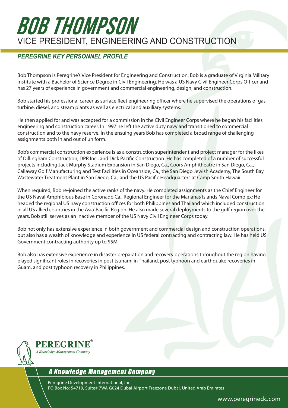### BOB THOMPSON Vice President, Engineering and Construction

#### *PEREGRINE KEY PERSONNEL PROFILE*

Bob Thompson is Peregrine's Vice President for Engineering and Construction. Bob is a graduate of Virginia Military Institute with a Bachelor of Science Degree in Civil Engineering. He was a US Navy Civil Engineer Corps Officer and has 27 years of experience in government and commercial engineering, design, and construction.

Bob started his professional career as surface fleet engineering officer where he supervised the operations of gas turbine, diesel, and steam plants as well as electrical and auxiliary systems.

He then applied for and was accepted for a commission in the Civil Engineer Corps where he began his facilities engineering and construction career. In 1997 he left the active duty navy and transitioned to commercial construction and to the navy reserve. In the ensuing years Bob has completed a broad range of challenging assignments both in and out of uniform.

Bob's commercial construction experience is as a construction superintendent and project manager for the likes of Dillingham Construction, DPR Inc., and Dick Pacific Construction. He has completed of a number of successful projects including Jack Murphy Stadium Expansion in San Diego, Ca., Coors Amphitheatre in San Diego, Ca., Callaway Golf Manufacturing and Test Facilities in Oceanside, Ca., the San Diego Jewish Academy, The South Bay Wastewater Treatment Plant in San Diego, Ca., and the US Pacific Headquarters at Camp Smith Hawaii.

When required, Bob re-joined the active ranks of the navy. He completed assignments as the Chief Engineer for the US Naval Amphibious Base in Coronado Ca., Regional Engineer for the Marianas Islands Naval Complex; He headed the regional US navy construction offices for both Philippines and Thailand which included construction in all US allied countries in the Asia-Pacific Region. He also made several deployments to the gulf region over the years. Bob still serves as an inactive member of the US Navy Civil Engineer Corps today.

Bob not only has extensive experience in both government and commercial design and construction operations, but also has a wealth of knowledge and experience in US federal contracting and contracting law. He has held US Government contracting authority up to \$5M.

Bob also has extensive experience in disaster preparation and recovery operations throughout the region having played significant roles in recoveries in post tsunami in Thailand, post typhoon and earthquake recoveries in Guam, and post typhoon recovery in Philippines.



#### A Knowledge Management Company

Peregrine Development International, Inc PO Box No: 54719, Suite# 7WA G024 Dubai Airport Freezone Dubai, United Arab Emirates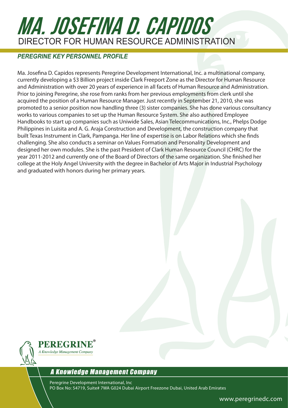# MA. JOSEFINA D. CAPIDOS DIRECTOR FOR HUMAN RESOURCE ADMINISTRATION

#### *PEREGRINE KEY PERSONNEL PROFILE*

Ma. Josefina D. Capidos represents Peregrine Development International, Inc. a multinational company, currently developing a \$3 Billion project inside Clark Freeport Zone as the Director for Human Resource and Administration with over 20 years of experience in all facets of Human Resource and Administration. Prior to joining Peregrine, she rose from ranks from her previous employments from clerk until she acquired the position of a Human Resource Manager. Just recently in September 21, 2010, she was promoted to a senior position now handling three (3) sister companies. She has done various consultancy works to various companies to set up the Human Resource System. She also authored Employee Handbooks to start up companies such as Uniwide Sales, Asian Telecommunications, Inc., Phelps Dodge Philippines in Luisita and A. G. Araja Construction and Development, the construction company that built Texas Instrument in Clark, Pampanga. Her line of expertise is on Labor Relations which she finds challenging. She also conducts a seminar on Values Formation and Personality Development and designed her own modules. She is the past President of Clark Human Resource Council (CHRC) for the year 2011-2012 and currently one of the Board of Directors of the same organization. She finished her college at the Holy Angel University with the degree in Bachelor of Arts Major in Industrial Psychology and graduated with honors during her primary years.



#### A Knowledge Management Company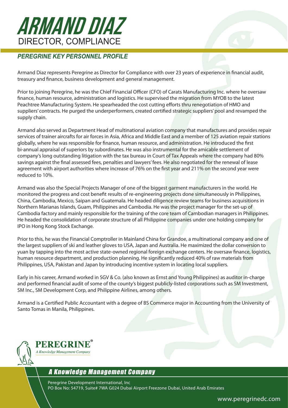### ARMAND DIAZ Director, Compliance

#### *PEREGRINE KEY PERSONNEL PROFILE*

Armand Diaz represents Peregrine as Director for Compliance with over 23 years of experience in financial audit, treasury and finance, business development and general management.

Prior to joining Peregrine, he was the Chief Financial Officer (CFO) of Carats Manufacturing Inc. where he oversaw finance, human resource, administration and logistics. He supervised the migration from MYOB to the latest Peachtree Manufacturing System. He spearheaded the cost cutting efforts thru renegotiation of HMO and suppliers' contracts. He purged the underperformers, created certified strategic suppliers' pool and revamped the supply chain.

Armand also served as Department Head of multinational aviation company that manufactures and provides repair services of trainer aircrafts for air forces in Asia, Africa and Middle East and a member of 125 aviation repair stations globally, where he was responsible for finance, human resource, and administration. He introduced the first bi-annual appraisal of superiors by subordinates. He was also instrumental for the amicable settlement of company's long outstanding litigation with the tax bureau in Court of Tax Appeals where the company had 80% savings against the final assessed fees, penalties and lawyers' fees. He also negotiated for the renewal of lease agreement with airport authorities where increase of 76% on the first year and 211% on the second year were reduced to 10%.

Armand was also the Special Projects Manager of one of the biggest garment manufacturers in the world. He monitored the progress and cost benefit results of re-engineering projects done simultaneously in Philippines, China, Cambodia, Mexico, Saipan and Guatemala. He headed diligence review teams for business acquisitions in Northern Marianas Islands, Guam, Philippines and Cambodia. He was the project manager for the set-up of Cambodia factory and mainly responsible for the training of the core team of Cambodian managers in Philippines. He headed the consolidation of corporate structure of all Philippine companies under one holding company for IPO in Hong Kong Stock Exchange.

Prior to this, he was the Financial Comptroller in Mainland China for Grandoe, a multinational company and one of the largest suppliers of ski and leather gloves to USA, Japan and Australia. He maximized the dollar conversion to yuan by tapping into the most active state-owned regional foreign exchange centers. He oversaw finance, logistics, human resource department, and production planning. He significantly reduced 40% of raw materials from Philippines, USA, Pakistan and Japan by introducing incentive system in locating local suppliers.

Early in his career, Armand worked in SGV & Co. (also known as Ernst and Young Philippines) as auditor in-charge and performed financial audit of some of the county's biggest publicly-listed corporations such as SM Investment, SM Inc., SM Development Corp, and Philippine Airlines, among others.

Armand is a Certified Public Accountant with a degree of BS Commerce major in Accounting from the University of Santo Tomas in Manila, Philippines.



#### A Knowledge Management Company

Peregrine Development International, Inc PO Box No: 54719, Suite# 7WA G024 Dubai Airport Freezone Dubai, United Arab Emirates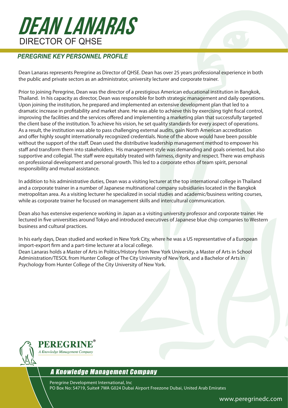### Dean Lanaras DIRECTOR OF OHSE

#### *PEREGRINE KEY PERSONNEL PROFILE*

Dean Lanaras represents Peregrine as Director of QHSE. Dean has over 25 years professional experience in both the public and private sectors as an administrator, university lecturer and corporate trainer.

Prior to joining Peregrine, Dean was the director of a prestigious American educational institution in Bangkok, Thailand. In his capacity as director, Dean was responsible for both strategic management and daily operations. Upon joining the institution, he prepared and implemented an extensive development plan that led to a dramatic increase in profitability and market share. He was able to achieve this by exercising tight fiscal control, improving the facilities and the services offered and implementing a marketing plan that successfully targeted the client base of the institution. To achieve his vision, he set quality standards for every aspect of operations. As a result, the institution was able to pass challenging external audits, gain North American accreditation and offer highly sought internationally recognized credentials. None of the above would have been possible without the support of the staff. Dean used the distributive leadership management method to empower his staff and transform them into stakeholders. His management style was demanding and goals oriented, but also supportive and collegial. The staff were equitably treated with fairness, dignity and respect. There was emphasis on professional development and personal growth. This led to a corporate ethos of team spirit, personal responsibility and mutual assistance.

In addition to his administrative duties, Dean was a visiting lecturer at the top international college in Thailand and a corporate trainer in a number of Japanese multinational company subsidiaries located in the Bangkok metropolitan area. As a visiting lecturer he specialized in social studies and academic/business writing courses, while as corporate trainer he focused on management skills and intercultural communication.

Dean also has extensive experience working in Japan as a visiting university professor and corporate trainer. He lectured in five universities around Tokyo and introduced executives of Japanese blue chip companies to Western business and cultural practices.

In his early days, Dean studied and worked in New York City, where he was a US representative of a European import-export firm and a part-time lecturer at a local college. Dean Lanaras holds a Master of Arts in Politics/History from New York University, a Master of Arts in School Administration/TESOL from Hunter College of The City University of New York, and a Bachelor of Arts in Psychology from Hunter College of the City University of New York.



A Knowledge Management Company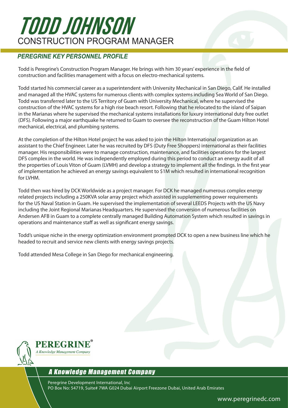### TODD JOHNSON CONSTRUCTION PROGRAM MANAGER

#### *PEREGRINE KEY PERSONNEL PROFILE*

Todd is Peregrine's Construction Program Manager. He brings with him 30 years' experience in the field of construction and facilities management with a focus on electro-mechanical systems.

Todd started his commercial career as a superintendent with University Mechanical in San Diego, Calif. He installed and managed all the HVAC systems for numerous clients with complex systems including Sea World of San Diego. Todd was transferred later to the US Territory of Guam with University Mechanical, where he supervised the construction of the HVAC systems for a high rise beach resort. Following that he relocated to the island of Saipan in the Marianas where he supervised the mechanical systems installations for luxury international duty free outlet (DFS). Following a major earthquake he returned to Guam to oversee the reconstruction of the Guam Hilton Hotel mechanical, electrical, and plumbing systems.

At the completion of the Hilton Hotel project he was asked to join the Hilton International organization as an assistant to the Chief Engineer. Later he was recruited by DFS (Duty Free Shoppers) international as their facilities manager. His responsibilities were to manage construction, maintenance, and facilities operations for the largest DFS complex in the world. He was independently employed during this period to conduct an energy audit of all the properties of Louis Viton of Guam (LVMH) and develop a strategy to implement all the findings. In the first year of implementation he achieved an energy savings equivalent to \$1M which resulted in international recognition for LVHM.

Todd then was hired by DCK Worldwide as a project manager. For DCK he managed numerous complex energy related projects including a 250KVA solar array project which assisted in supplementing power requirements for the US Naval Station in Guam. He supervised the implementation of several LEEDS Projects with the US Navy including the Joint Regional Marianas Headquarters. He supervised the conversion of numerous facilities on Andersen AFB in Guam to a complete centrally managed Building Automation System which resulted in savings in operations and maintenance staff as well as significant energy savings.

Todd's unique niche in the energy optimization environment prompted DCK to open a new business line which he headed to recruit and service new clients with energy savings projects.

Todd attended Mesa College in San Diego for mechanical engineering.



#### A Knowledge Management Company

Peregrine Development International, Inc PO Box No: 54719, Suite# 7WA G024 Dubai Airport Freezone Dubai, United Arab Emirates